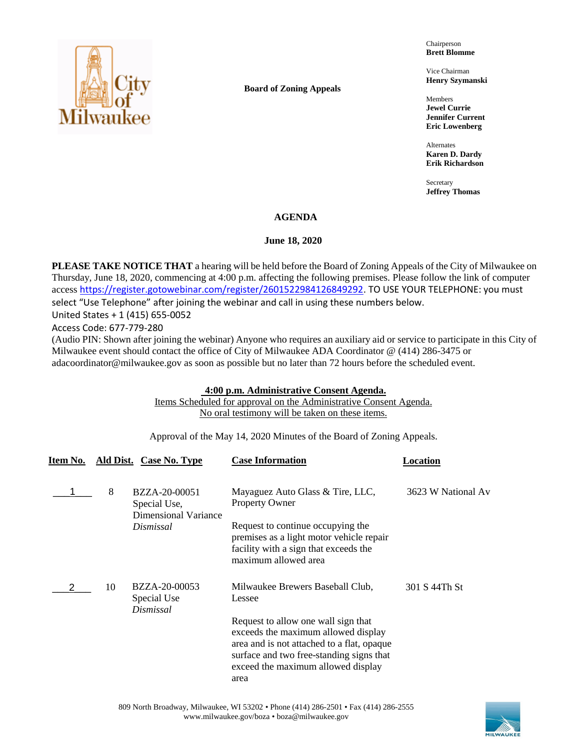

**Board of Zoning Appeals**

Chairperson **Brett Blomme**

Vice Chairman **Henry Szymanski**

Members **Jewel Currie Jennifer Current Eric Lowenberg**

Alternates **Karen D. Dardy Erik Richardson**

Secretary **Jeffrey Thomas**

# **AGENDA**

# June 18, 2020

**PLEASE TAKE NOTICE THAT** a hearing will be held before the Board of Zoning Appeals of the City of Milwaukee on Thursday, June 18, 2020, commencing at 4:00 p.m. affecting the following premises. Please follow the link of computer access [https://register.gotowebinar.com/register/2601522984126849292.](https://register.gotowebinar.com/register/2601522984126849292) TO USE YOUR TELEPHONE: you must select "Use Telephone" after joining the webinar and call in using these numbers below.

United States + 1 (415) 655-0052

Access Code: 677-779-280

(Audio PIN: Shown after joining the webinar) Anyone who requires an auxiliary aid or service to participate in this City of Milwaukee event should contact the office of City of Milwaukee ADA Coordinator @ (414) 286-3475 or adacoordinator@milwaukee.gov as soon as possible but no later than 72 hours before the scheduled event.

## **4:00 p.m. Administrative Consent Agenda.**

Items Scheduled for approval on the Administrative Consent Agenda. No oral testimony will be taken on these items.

Approval of the May 14, 2020 Minutes of the Board of Zoning Appeals.

| Item No. |    | Ald Dist. Case No. Type                               | <b>Case Information</b>                                                                                                                                                                                            | Location           |
|----------|----|-------------------------------------------------------|--------------------------------------------------------------------------------------------------------------------------------------------------------------------------------------------------------------------|--------------------|
|          | 8  | BZZA-20-00051<br>Special Use,<br>Dimensional Variance | Mayaguez Auto Glass & Tire, LLC,<br><b>Property Owner</b>                                                                                                                                                          | 3623 W National Av |
|          |    | Dismissal                                             | Request to continue occupying the<br>premises as a light motor vehicle repair<br>facility with a sign that exceeds the<br>maximum allowed area                                                                     |                    |
|          | 10 | BZZA-20-00053<br>Special Use<br>Dismissal             | Milwaukee Brewers Baseball Club,<br>Lessee                                                                                                                                                                         | 301 S 44Th St      |
|          |    |                                                       | Request to allow one wall sign that<br>exceeds the maximum allowed display<br>area and is not attached to a flat, opaque<br>surface and two free-standing signs that<br>exceed the maximum allowed display<br>area |                    |

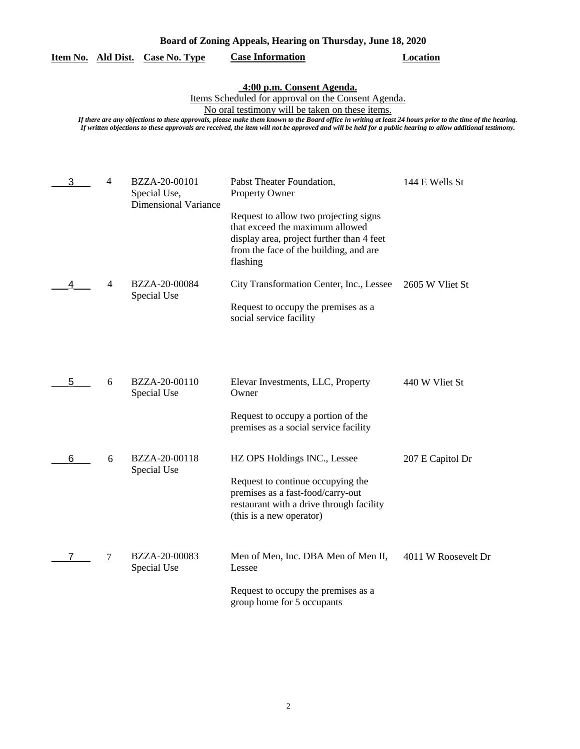| Board of Zoning Appeals, Hearing on Thursday, June 18, 2020 |  |  |  |
|-------------------------------------------------------------|--|--|--|
|                                                             |  |  |  |

## **Item No. Ald Dist. Case No. Type Case Information Location**

#### **4:00 p.m. Consent Agenda.**

Items Scheduled for approval on the Consent Agenda.

No oral testimony will be taken on these items.

*If there are any objections to these approvals, please make them known to the Board office in writing at least 24 hours prior to the time of the hearing. If written objections to these approvals are received, the item will not be approved and will be held for a public hearing to allow additional testimony.*

| 3 | $\overline{4}$ | BZZA-20-00101<br>Special Use,<br><b>Dimensional Variance</b> | Pabst Theater Foundation,<br>Property Owner                                                                                                                                 | 144 E Wells St      |
|---|----------------|--------------------------------------------------------------|-----------------------------------------------------------------------------------------------------------------------------------------------------------------------------|---------------------|
|   |                |                                                              | Request to allow two projecting signs<br>that exceed the maximum allowed<br>display area, project further than 4 feet<br>from the face of the building, and are<br>flashing |                     |
| 4 | 4              | BZZA-20-00084<br>Special Use                                 | City Transformation Center, Inc., Lessee<br>Request to occupy the premises as a<br>social service facility                                                                  | 2605 W Vliet St     |
|   |                |                                                              |                                                                                                                                                                             |                     |
| 5 | 6              | BZZA-20-00110<br>Special Use                                 | Elevar Investments, LLC, Property<br>Owner                                                                                                                                  | 440 W Vliet St      |
|   |                |                                                              | Request to occupy a portion of the<br>premises as a social service facility                                                                                                 |                     |
| 6 | 6              | BZZA-20-00118<br>Special Use                                 | HZ OPS Holdings INC., Lessee                                                                                                                                                | 207 E Capitol Dr    |
|   |                |                                                              | Request to continue occupying the<br>premises as a fast-food/carry-out<br>restaurant with a drive through facility<br>(this is a new operator)                              |                     |
|   | 7              | BZZA-20-00083<br>Special Use                                 | Men of Men, Inc. DBA Men of Men II,<br>Lessee                                                                                                                               | 4011 W Roosevelt Dr |
|   |                |                                                              | Request to occupy the premises as a<br>group home for 5 occupants                                                                                                           |                     |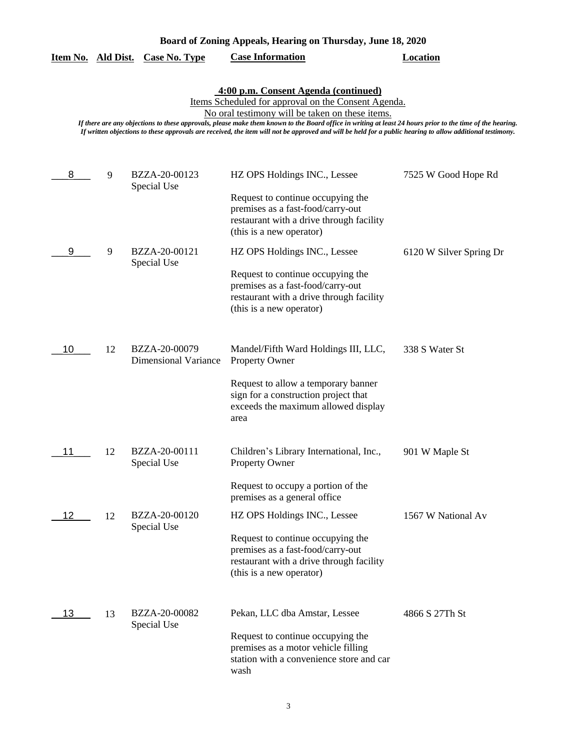| Board of Zoning Appeals, Hearing on Thursday, June 18, 2020 |  |  |  |
|-------------------------------------------------------------|--|--|--|
|                                                             |  |  |  |

|  |  | Item No. Ald Dist. Case No. Type | <b>Case Information</b> | Location |
|--|--|----------------------------------|-------------------------|----------|
|--|--|----------------------------------|-------------------------|----------|

**4:00 p.m. Consent Agenda (continued)**

Items Scheduled for approval on the Consent Agenda.

No oral testimony will be taken on these items.

*If there are any objections to these approvals, please make them known to the Board office in writing at least 24 hours prior to the time of the hearing. If written objections to these approvals are received, the item will not be approved and will be held for a public hearing to allow additional testimony.*

| 8  | 9  | BZZA-20-00123<br>Special Use                 | HZ OPS Holdings INC., Lessee                                                                                                                                                                | 7525 W Good Hope Rd     |
|----|----|----------------------------------------------|---------------------------------------------------------------------------------------------------------------------------------------------------------------------------------------------|-------------------------|
|    |    |                                              | Request to continue occupying the<br>premises as a fast-food/carry-out<br>restaurant with a drive through facility<br>(this is a new operator)                                              |                         |
| 9  | 9  | BZZA-20-00121<br>Special Use                 | HZ OPS Holdings INC., Lessee<br>Request to continue occupying the<br>premises as a fast-food/carry-out<br>restaurant with a drive through facility<br>(this is a new operator)              | 6120 W Silver Spring Dr |
| 10 | 12 | BZZA-20-00079<br><b>Dimensional Variance</b> | Mandel/Fifth Ward Holdings III, LLC,<br><b>Property Owner</b><br>Request to allow a temporary banner<br>sign for a construction project that<br>exceeds the maximum allowed display<br>area | 338 S Water St          |
| 11 | 12 | BZZA-20-00111<br>Special Use                 | Children's Library International, Inc.,<br><b>Property Owner</b><br>Request to occupy a portion of the<br>premises as a general office                                                      | 901 W Maple St          |
| 12 | 12 | BZZA-20-00120<br>Special Use                 | HZ OPS Holdings INC., Lessee<br>Request to continue occupying the<br>premises as a fast-food/carry-out<br>restaurant with a drive through facility<br>(this is a new operator)              | 1567 W National Av      |
| 13 | 13 | BZZA-20-00082<br>Special Use                 | Pekan, LLC dba Amstar, Lessee<br>Request to continue occupying the<br>premises as a motor vehicle filling<br>station with a convenience store and car<br>wash                               | 4866 S 27Th St          |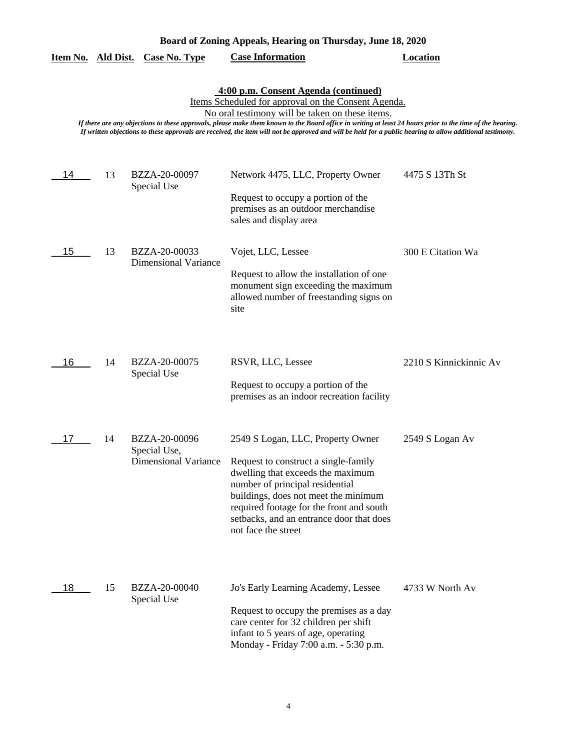| Board of Zoning Appeals, Hearing on Thursday, June 18, 2020 |  |  |  |
|-------------------------------------------------------------|--|--|--|
|                                                             |  |  |  |

|                                                                                                                                                                                                                                                                                                                                                                                                                                                                          |    | <u>Item No. Ald Dist. Case No. Type</u>                      | <b>Case Information</b>                                                                                                                                                                                                                                                                                  | <b>Location</b>        |  |
|--------------------------------------------------------------------------------------------------------------------------------------------------------------------------------------------------------------------------------------------------------------------------------------------------------------------------------------------------------------------------------------------------------------------------------------------------------------------------|----|--------------------------------------------------------------|----------------------------------------------------------------------------------------------------------------------------------------------------------------------------------------------------------------------------------------------------------------------------------------------------------|------------------------|--|
| 4:00 p.m. Consent Agenda (continued)<br>Items Scheduled for approval on the Consent Agenda.<br>No oral testimony will be taken on these items.<br>If there are any objections to these approvals, please make them known to the Board office in writing at least 24 hours prior to the time of the hearing.<br>If written objections to these approvals are received, the item will not be approved and will be held for a public hearing to allow additional testimony. |    |                                                              |                                                                                                                                                                                                                                                                                                          |                        |  |
| 14                                                                                                                                                                                                                                                                                                                                                                                                                                                                       | 13 | BZZA-20-00097<br>Special Use                                 | Network 4475, LLC, Property Owner<br>Request to occupy a portion of the<br>premises as an outdoor merchandise<br>sales and display area                                                                                                                                                                  | 4475 S 13Th St         |  |
| 15                                                                                                                                                                                                                                                                                                                                                                                                                                                                       | 13 | BZZA-20-00033<br><b>Dimensional Variance</b>                 | Vojet, LLC, Lessee<br>Request to allow the installation of one<br>monument sign exceeding the maximum<br>allowed number of freestanding signs on<br>site                                                                                                                                                 | 300 E Citation Wa      |  |
| 16                                                                                                                                                                                                                                                                                                                                                                                                                                                                       | 14 | BZZA-20-00075<br>Special Use                                 | RSVR, LLC, Lessee<br>Request to occupy a portion of the<br>premises as an indoor recreation facility                                                                                                                                                                                                     | 2210 S Kinnickinnic Av |  |
| 17                                                                                                                                                                                                                                                                                                                                                                                                                                                                       | 14 | BZZA-20-00096<br>Special Use,<br><b>Dimensional Variance</b> | 2549 S Logan, LLC, Property Owner<br>Request to construct a single-family<br>dwelling that exceeds the maximum<br>number of principal residential<br>buildings, does not meet the minimum<br>required footage for the front and south<br>setbacks, and an entrance door that does<br>not face the street | 2549 S Logan Av        |  |
| 18                                                                                                                                                                                                                                                                                                                                                                                                                                                                       | 15 | BZZA-20-00040<br>Special Use                                 | Jo's Early Learning Academy, Lessee<br>Request to occupy the premises as a day<br>care center for 32 children per shift<br>infant to 5 years of age, operating<br>Monday - Friday 7:00 a.m. - 5:30 p.m.                                                                                                  | 4733 W North Av        |  |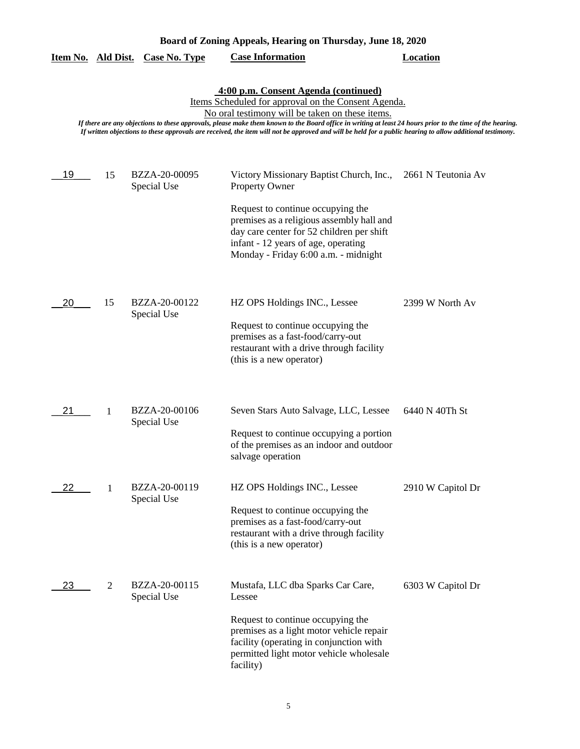| Board of Zoning Appeals, Hearing on Thursday, June 18, 2020                                                                                                                                                                                                                                                                                                                                                                                                              |    |                              |                                                                                                                                                                                                                                                                                 |                    |  |  |
|--------------------------------------------------------------------------------------------------------------------------------------------------------------------------------------------------------------------------------------------------------------------------------------------------------------------------------------------------------------------------------------------------------------------------------------------------------------------------|----|------------------------------|---------------------------------------------------------------------------------------------------------------------------------------------------------------------------------------------------------------------------------------------------------------------------------|--------------------|--|--|
| Item No. Ald Dist.                                                                                                                                                                                                                                                                                                                                                                                                                                                       |    | <b>Case No. Type</b>         | <b>Case Information</b>                                                                                                                                                                                                                                                         | <b>Location</b>    |  |  |
| 4:00 p.m. Consent Agenda (continued)<br>Items Scheduled for approval on the Consent Agenda.<br>No oral testimony will be taken on these items.<br>If there are any objections to these approvals, please make them known to the Board office in writing at least 24 hours prior to the time of the hearing.<br>If written objections to these approvals are received, the item will not be approved and will be held for a public hearing to allow additional testimony. |    |                              |                                                                                                                                                                                                                                                                                 |                    |  |  |
| 19                                                                                                                                                                                                                                                                                                                                                                                                                                                                       | 15 | BZZA-20-00095<br>Special Use | Victory Missionary Baptist Church, Inc.,<br><b>Property Owner</b><br>Request to continue occupying the<br>premises as a religious assembly hall and<br>day care center for 52 children per shift<br>infant - 12 years of age, operating<br>Monday - Friday 6:00 a.m. - midnight | 2661 N Teutonia Av |  |  |
| 20                                                                                                                                                                                                                                                                                                                                                                                                                                                                       | 15 | BZZA-20-00122<br>Special Use | HZ OPS Holdings INC., Lessee<br>Request to continue occupying the<br>premises as a fast-food/carry-out<br>restaurant with a drive through facility<br>(this is a new operator)                                                                                                  | 2399 W North Av    |  |  |
| 21                                                                                                                                                                                                                                                                                                                                                                                                                                                                       | 1  | BZZA-20-00106<br>Special Use | Seven Stars Auto Salvage, LLC, Lessee<br>Request to continue occupying a portion<br>of the premises as an indoor and outdoor<br>salvage operation                                                                                                                               | 6440 N 40Th St     |  |  |
| 22                                                                                                                                                                                                                                                                                                                                                                                                                                                                       | 1  | BZZA-20-00119<br>Special Use | HZ OPS Holdings INC., Lessee<br>Request to continue occupying the<br>premises as a fast-food/carry-out<br>restaurant with a drive through facility<br>(this is a new operator)                                                                                                  | 2910 W Capitol Dr  |  |  |
| 23                                                                                                                                                                                                                                                                                                                                                                                                                                                                       | 2  | BZZA-20-00115<br>Special Use | Mustafa, LLC dba Sparks Car Care,<br>Lessee<br>Request to continue occupying the<br>premises as a light motor vehicle repair<br>facility (operating in conjunction with<br>permitted light motor vehicle wholesale<br>facility)                                                 | 6303 W Capitol Dr  |  |  |